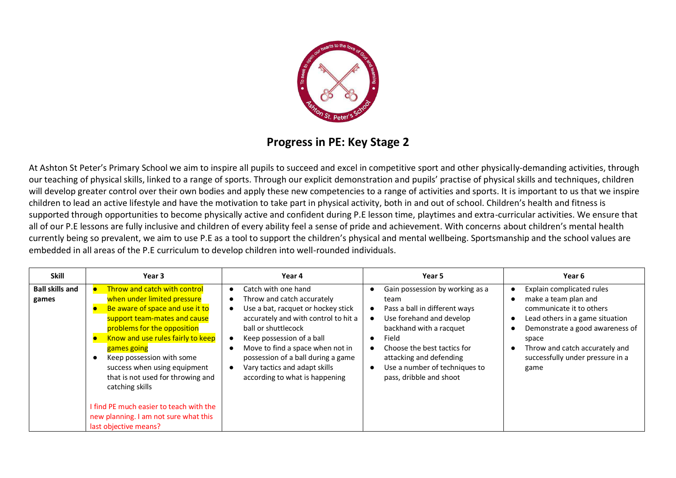

## **Progress in PE: Key Stage 2**

At Ashton St Peter's Primary School we aim to inspire all pupils to succeed and excel in competitive sport and other physically-demanding activities, through our teaching of physical skills, linked to a range of sports. Through our explicit demonstration and pupils' practise of physical skills and techniques, children will develop greater control over their own bodies and apply these new competencies to a range of activities and sports. It is important to us that we inspire children to lead an active lifestyle and have the motivation to take part in physical activity, both in and out of school. Children's health and fitness is supported through opportunities to become physically active and confident during P.E lesson time, playtimes and extra-curricular activities. We ensure that all of our P.E lessons are fully inclusive and children of every ability feel a sense of pride and achievement. With concerns about children's mental health currently being so prevalent, we aim to use P.E as a tool to support the children's physical and mental wellbeing. Sportsmanship and the school values are embedded in all areas of the P.E curriculum to develop children into well-rounded individuals.

| <b>Skill</b>                    | Year 3                                                                                                                                                                                                                                                                                                                                                                                                                                              | Year 4                                                                                                                                                                                                                                                                                                                           | Year 5                                                                                                                                                                                                                                                         | Year 6                                                                                                                                                                                                                                     |
|---------------------------------|-----------------------------------------------------------------------------------------------------------------------------------------------------------------------------------------------------------------------------------------------------------------------------------------------------------------------------------------------------------------------------------------------------------------------------------------------------|----------------------------------------------------------------------------------------------------------------------------------------------------------------------------------------------------------------------------------------------------------------------------------------------------------------------------------|----------------------------------------------------------------------------------------------------------------------------------------------------------------------------------------------------------------------------------------------------------------|--------------------------------------------------------------------------------------------------------------------------------------------------------------------------------------------------------------------------------------------|
| <b>Ball skills and</b><br>games | Throw and catch with control<br>when under limited pressure<br>Be aware of space and use it to<br>support team-mates and cause<br>problems for the opposition<br>Know and use rules fairly to keep<br>games going<br>Keep possession with some<br>success when using equipment<br>that is not used for throwing and<br>catching skills<br>I find PE much easier to teach with the<br>new planning. I am not sure what this<br>last objective means? | Catch with one hand<br>Throw and catch accurately<br>Use a bat, racquet or hockey stick<br>accurately and with control to hit a<br>ball or shuttlecock<br>Keep possession of a ball<br>Move to find a space when not in<br>possession of a ball during a game<br>Vary tactics and adapt skills<br>according to what is happening | Gain possession by working as a<br>team<br>Pass a ball in different ways<br>Use forehand and develop<br>backhand with a racquet<br>Field<br>Choose the best tactics for<br>attacking and defending<br>Use a number of techniques to<br>pass, dribble and shoot | Explain complicated rules<br>make a team plan and<br>communicate it to others<br>Lead others in a game situation<br>Demonstrate a good awareness of<br>space<br>Throw and catch accurately and<br>successfully under pressure in a<br>game |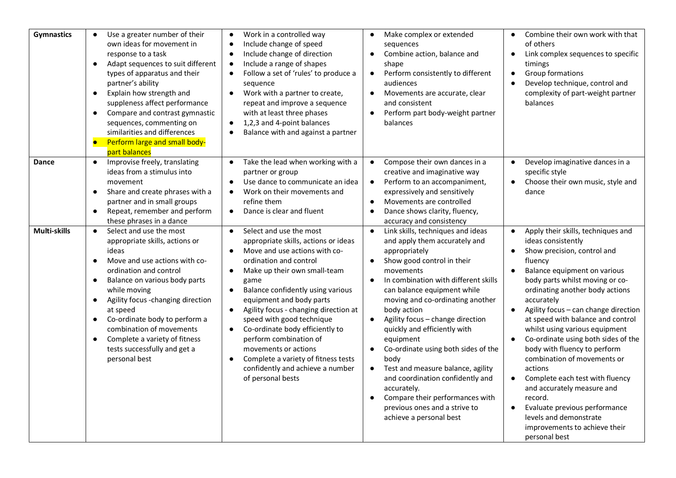| <b>Gymnastics</b>     | Use a greater number of their<br>own ideas for movement in<br>response to a task<br>Adapt sequences to suit different<br>$\bullet$<br>types of apparatus and their<br>partner's ability<br>Explain how strength and<br>$\bullet$<br>suppleness affect performance<br>Compare and contrast gymnastic<br>$\bullet$<br>sequences, commenting on<br>similarities and differences<br>Perform large and small body-<br>part balances                                                                                                                                                                                                                                                                  | Work in a controlled way<br>$\bullet$<br>Include change of speed<br>$\bullet$<br>Include change of direction<br>$\bullet$<br>Include a range of shapes<br>$\bullet$<br>Follow a set of 'rules' to produce a<br>$\bullet$<br>sequence<br>Work with a partner to create,<br>$\bullet$<br>repeat and improve a sequence<br>with at least three phases<br>1,2,3 and 4-point balances<br>$\bullet$<br>Balance with and against a partner<br>$\bullet$                                                                                                                                                                                                                                                                                                                                                         | Make complex or extended<br>sequences<br>Combine action, balance and<br>$\bullet$<br>shape<br>Perform consistently to different<br>$\bullet$<br>audiences<br>Movements are accurate, clear<br>and consistent<br>Perform part body-weight partner<br>balances                                                                                                                                                                                                                                                                                                                                                                                                                                                                                                                                                       | Combine their own work with that<br>of others<br>Link complex sequences to specific<br>timings<br>Group formations<br>$\bullet$<br>Develop technique, control and<br>$\bullet$<br>complexity of part-weight partner<br>balances                                                                                                                                                                                                                                                                                                                                                                                                                                                                          |
|-----------------------|-------------------------------------------------------------------------------------------------------------------------------------------------------------------------------------------------------------------------------------------------------------------------------------------------------------------------------------------------------------------------------------------------------------------------------------------------------------------------------------------------------------------------------------------------------------------------------------------------------------------------------------------------------------------------------------------------|----------------------------------------------------------------------------------------------------------------------------------------------------------------------------------------------------------------------------------------------------------------------------------------------------------------------------------------------------------------------------------------------------------------------------------------------------------------------------------------------------------------------------------------------------------------------------------------------------------------------------------------------------------------------------------------------------------------------------------------------------------------------------------------------------------|--------------------------------------------------------------------------------------------------------------------------------------------------------------------------------------------------------------------------------------------------------------------------------------------------------------------------------------------------------------------------------------------------------------------------------------------------------------------------------------------------------------------------------------------------------------------------------------------------------------------------------------------------------------------------------------------------------------------------------------------------------------------------------------------------------------------|----------------------------------------------------------------------------------------------------------------------------------------------------------------------------------------------------------------------------------------------------------------------------------------------------------------------------------------------------------------------------------------------------------------------------------------------------------------------------------------------------------------------------------------------------------------------------------------------------------------------------------------------------------------------------------------------------------|
| Dance<br>Multi-skills | Improvise freely, translating<br>ideas from a stimulus into<br>movement<br>Share and create phrases with a<br>$\bullet$<br>partner and in small groups<br>Repeat, remember and perform<br>$\bullet$<br>these phrases in a dance<br>Select and use the most<br>$\bullet$<br>appropriate skills, actions or<br>ideas<br>Move and use actions with co-<br>$\bullet$<br>ordination and control<br>Balance on various body parts<br>$\bullet$<br>while moving<br>Agility focus -changing direction<br>$\bullet$<br>at speed<br>Co-ordinate body to perform a<br>$\bullet$<br>combination of movements<br>Complete a variety of fitness<br>$\bullet$<br>tests successfully and get a<br>personal best | Take the lead when working with a<br>partner or group<br>Use dance to communicate an idea<br>$\bullet$<br>Work on their movements and<br>$\bullet$<br>refine them<br>Dance is clear and fluent<br>$\bullet$<br>Select and use the most<br>$\bullet$<br>appropriate skills, actions or ideas<br>Move and use actions with co-<br>$\bullet$<br>ordination and control<br>Make up their own small-team<br>$\bullet$<br>game<br>Balance confidently using various<br>$\bullet$<br>equipment and body parts<br>Agility focus - changing direction at<br>$\bullet$<br>speed with good technique<br>Co-ordinate body efficiently to<br>$\bullet$<br>perform combination of<br>movements or actions<br>Complete a variety of fitness tests<br>$\bullet$<br>confidently and achieve a number<br>of personal bests | Compose their own dances in a<br>creative and imaginative way<br>Perform to an accompaniment,<br>$\bullet$<br>expressively and sensitively<br>Movements are controlled<br>$\bullet$<br>Dance shows clarity, fluency,<br>$\bullet$<br>accuracy and consistency<br>Link skills, techniques and ideas<br>$\bullet$<br>and apply them accurately and<br>appropriately<br>Show good control in their<br>$\bullet$<br>movements<br>In combination with different skills<br>can balance equipment while<br>moving and co-ordinating another<br>body action<br>Agility focus - change direction<br>$\bullet$<br>quickly and efficiently with<br>equipment<br>Co-ordinate using both sides of the<br>$\bullet$<br>body<br>Test and measure balance, agility<br>$\bullet$<br>and coordination confidently and<br>accurately. | Develop imaginative dances in a<br>specific style<br>Choose their own music, style and<br>$\bullet$<br>dance<br>Apply their skills, techniques and<br>$\bullet$<br>ideas consistently<br>Show precision, control and<br>$\bullet$<br>fluency<br>Balance equipment on various<br>$\bullet$<br>body parts whilst moving or co-<br>ordinating another body actions<br>accurately<br>Agility focus - can change direction<br>at speed with balance and control<br>whilst using various equipment<br>Co-ordinate using both sides of the<br>$\bullet$<br>body with fluency to perform<br>combination of movements or<br>actions<br>Complete each test with fluency<br>$\bullet$<br>and accurately measure and |
|                       |                                                                                                                                                                                                                                                                                                                                                                                                                                                                                                                                                                                                                                                                                                 |                                                                                                                                                                                                                                                                                                                                                                                                                                                                                                                                                                                                                                                                                                                                                                                                          | Compare their performances with<br>$\bullet$<br>previous ones and a strive to<br>achieve a personal best                                                                                                                                                                                                                                                                                                                                                                                                                                                                                                                                                                                                                                                                                                           | record.<br>Evaluate previous performance<br>$\bullet$<br>levels and demonstrate<br>improvements to achieve their<br>personal best                                                                                                                                                                                                                                                                                                                                                                                                                                                                                                                                                                        |